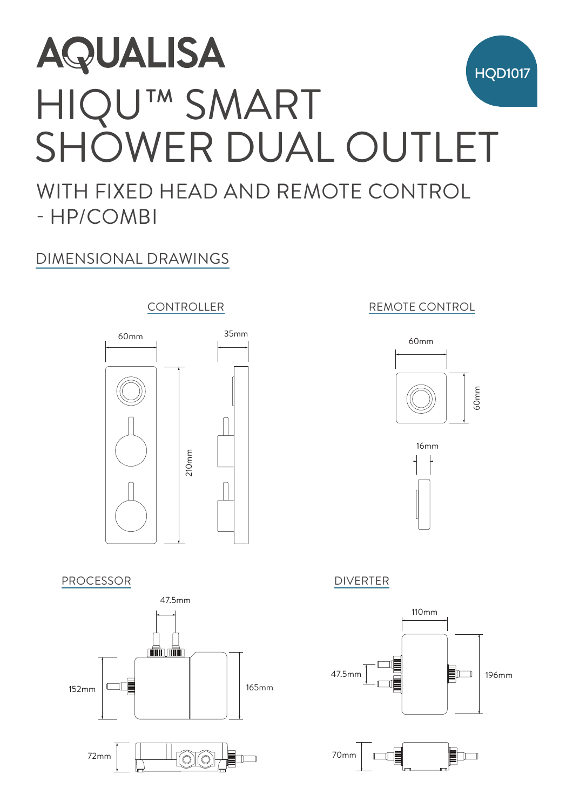# **AQUALISA** HQD1017 HIQU™ SMART SHOWER DUAL OUTLET WITH FIXED HEAD AND REMOTE CONTROL - HP/COMBI

# DIMENSIONAL DRAWINGS

## CONTROLLER



### PROCESSOR DIVERTER



### 60mm REMOTE CONTROL